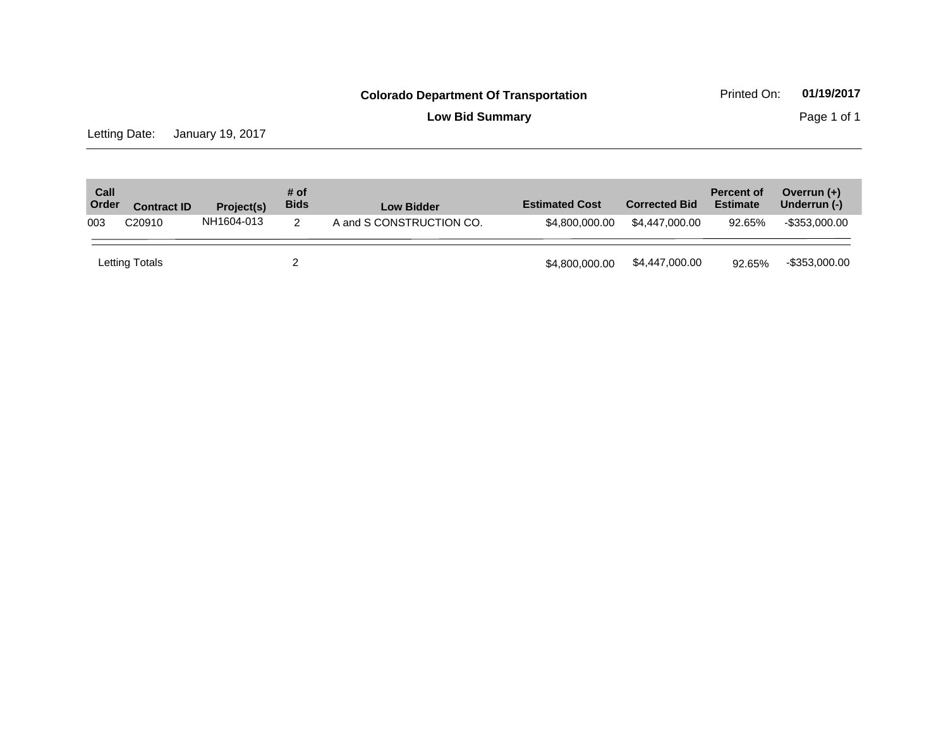**Low Bid Summary Page 1 of 1** 

Letting Date: January 19, 2017

| Call<br>Order | <b>Contract ID</b> | Project(s) | # of<br><b>Bids</b> | <b>Low Bidder</b>        | <b>Estimated Cost</b> | <b>Corrected Bid</b> | <b>Percent of</b><br><b>Estimate</b> | Overrun $(+)$<br>Underrun (-) |
|---------------|--------------------|------------|---------------------|--------------------------|-----------------------|----------------------|--------------------------------------|-------------------------------|
| 003           | C <sub>20910</sub> | NH1604-013 | 2                   | A and S CONSTRUCTION CO. | \$4,800,000,00        | \$4,447,000,00       | 92.65%                               | -\$353.000.00                 |
|               | Letting Totals     |            |                     |                          | \$4,800,000,00        | \$4,447,000.00       | 92.65%                               | $-$ \$353,000.00              |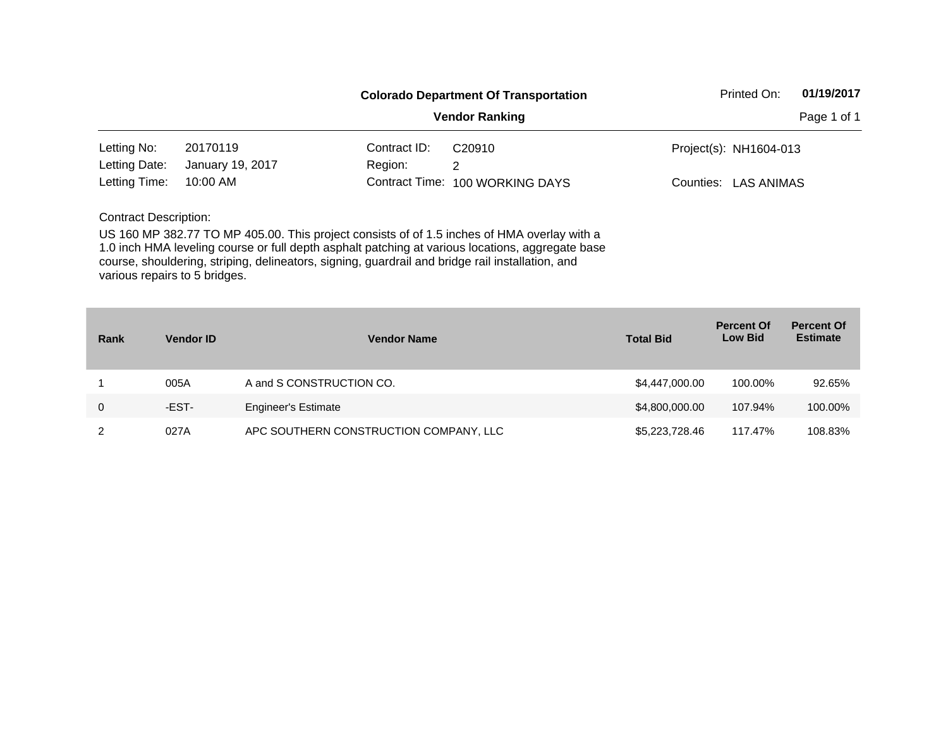|                              |                  |              | <b>Colorado Department Of Transportation</b>                                                | Printed On:            | 01/19/2017 |
|------------------------------|------------------|--------------|---------------------------------------------------------------------------------------------|------------------------|------------|
|                              |                  |              | Page 1 of 1                                                                                 |                        |            |
| Letting No:                  | 20170119         | Contract ID: | C <sub>20910</sub>                                                                          | Project(s): NH1604-013 |            |
| Letting Date:                | January 19, 2017 | Region:      | 2                                                                                           |                        |            |
| Letting Time:                | 10:00 AM         |              | Contract Time: 100 WORKING DAYS                                                             | Counties: LAS ANIMAS   |            |
| <b>Contract Description:</b> |                  |              |                                                                                             |                        |            |
|                              |                  |              | US 160 MP 382.77 TO MP 405.00. This project consists of of 1.5 inches of HMA overlay with a |                        |            |

1.0 inch HMA leveling course or full depth asphalt patching at various locations, aggregate base course, shouldering, striping, delineators, signing, guardrail and bridge rail installation, and various repairs to 5 bridges.

| Rank | <b>Vendor ID</b> | <b>Vendor Name</b>                     | <b>Total Bid</b> | <b>Percent Of</b><br><b>Low Bid</b> | <b>Percent Of</b><br><b>Estimate</b> |
|------|------------------|----------------------------------------|------------------|-------------------------------------|--------------------------------------|
|      | 005A             | A and S CONSTRUCTION CO.               | \$4,447,000.00   | 100.00%                             | 92.65%                               |
| 0    | -EST-            | <b>Engineer's Estimate</b>             | \$4,800,000.00   | 107.94%                             | 100.00%                              |
| 2    | 027A             | APC SOUTHERN CONSTRUCTION COMPANY, LLC | \$5,223,728.46   | 117.47%                             | 108.83%                              |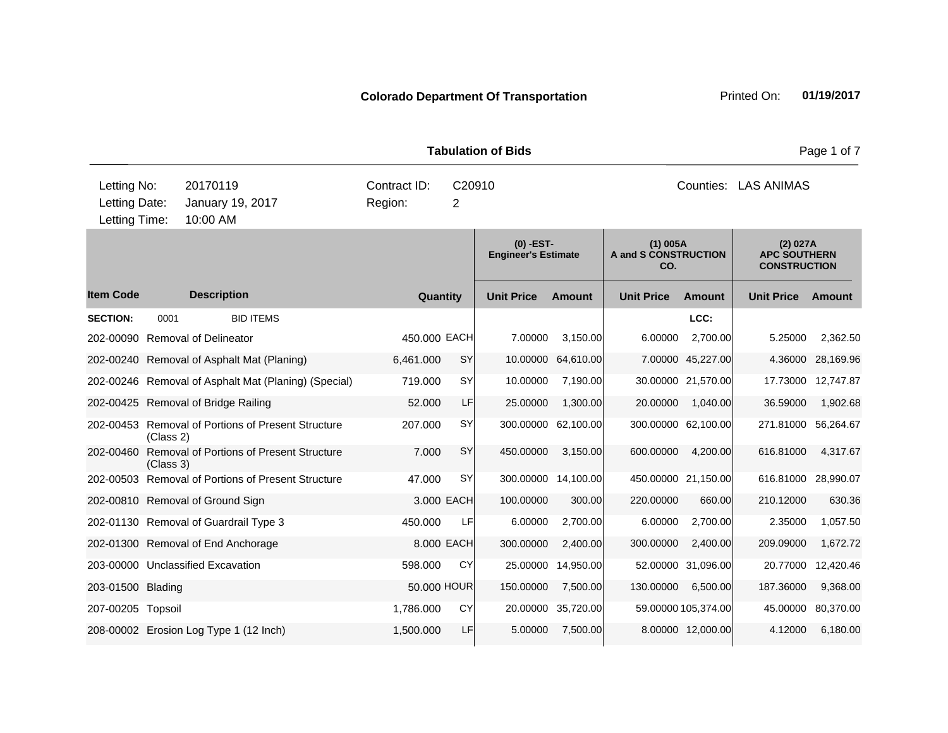**Quantity Unit Price Unit Price Ext** Item Code Description Quantity Unit Price Amount Unit Price Amount Unit Price **Ext Unit Price Amount Ext Amount (0) -EST-Engineer's Estimate (1) 005A A and S CONSTRUCTION CO. (2) 027A APC SOUTHERN CONSTRUCTION Description SECTION:** 0001 BID ITEMS **LCC:** 202-00090 Removal of Delineator 450.000 EACH 7.00000 3,150.00 6.00000 2,700.00 5.25000 2,362.50 202-00240 Removal of Asphalt Mat (Planing) 6,461.000 SY 10.00000 64,610.00 7.00000 45,227.00 4.36000 28,169.96 202-00246 Removal of Asphalt Mat (Planing) (Special) 719.000 SY 10.00000 7,190.00 30.00000 21,570.00 17.73000 12,747.87 202-00425 Removal of Bridge Railing 52.000 LF 25.00000 1,300.00 20.00000 1,040.00 36.59000 1,902.68 202-00453 Removal of Portions of Present Structure (Class 2) 207.000 SY 300.00000 62,100.00 300.00000 62,100.00 271.81000 56,264.67 202-00460 Removal of Portions of Present Structure (Class 3) 7.000 SY 450.00000 3,150.00 600.00000 4,200.00 616.81000 4,317.67 202-00503 Removal of Portions of Present Structure 47.000 SY 300.00000 14,100.00 450.00000 21,150.00 616.81000 28,990.07 202-00810 Removal of Ground Sign 3.000 EACH 100.00000 300.00 220.00000 660.00 210.12000 630.36 202-01130 Removal of Guardrail Type 3 450.000 LF 6.00000 2,700.00 6.00000 2,700.00 2.35000 1,057.50 202-01300 Removal of End Anchorage 8.000 EACH 300.00000 2,400.00 300.00000 2,400.00 209.09000 1,672.72 203-00000 Unclassified Excavation 598.000 CY 25.00000 14,950.00 52.00000 31,096.00 20.77000 12,420.46 203-01500 Blading 50.000 HOUR 150.00000 7,500.00 130.00000 6,500.00 187.36000 9,368.00 207-00205 Topsoil 1,786.000 CY 20.00000 35,720.00 59.00000 105,374.00 45.00000 80,370.00 208-00002 Erosion Log Type 1 (12 Inch) 1,500.000 LF 5.00000 7,500.00 8.00000 12,000.00 4.12000 6,180.00 **Tabulation of Bids Page 1 of 7 Page 1 of 7** 10:00 AM Counties: LAS ANIMAS Letting Date: January 19, 2017 Region: 2 C20910 Region: Letting Time: Letting No: 20170119 Contract ID: Counties: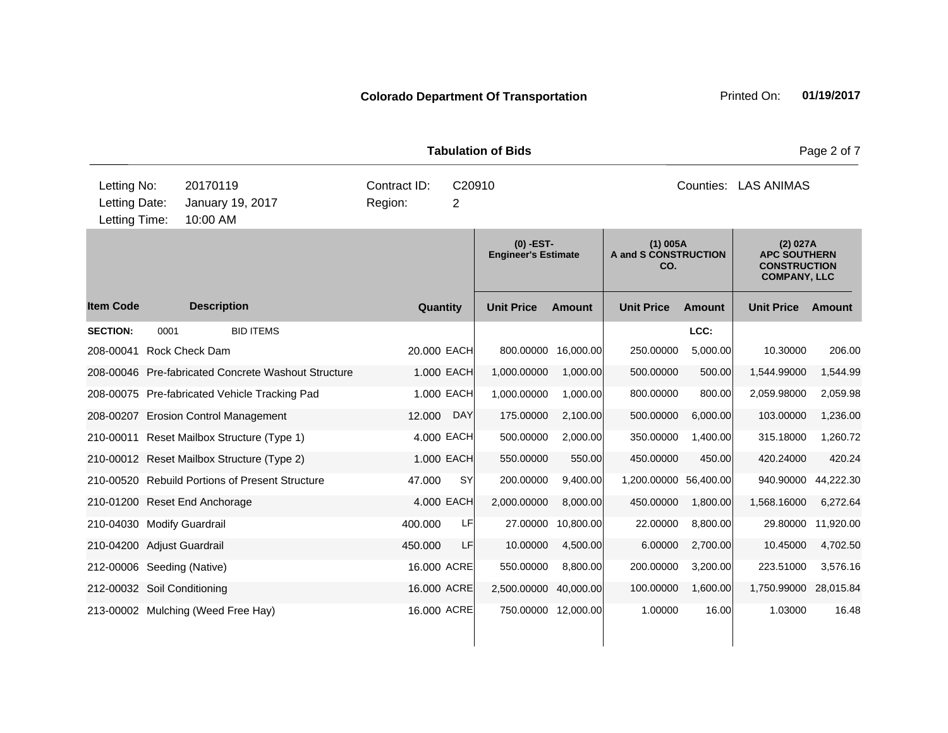|                                               |      |                                                     |                         |             | <b>Tabulation of Bids</b>                 |                     |                                           |               |                                                                               | Page 2 of 7 |
|-----------------------------------------------|------|-----------------------------------------------------|-------------------------|-------------|-------------------------------------------|---------------------|-------------------------------------------|---------------|-------------------------------------------------------------------------------|-------------|
| Letting No:<br>Letting Date:<br>Letting Time: |      | 20170119<br>January 19, 2017<br>10:00 AM            | Contract ID:<br>Region: | C20910<br>2 |                                           |                     |                                           |               | Counties: LAS ANIMAS                                                          |             |
|                                               |      |                                                     |                         |             | $(0)$ -EST-<br><b>Engineer's Estimate</b> |                     | $(1)$ 005A<br>A and S CONSTRUCTION<br>CO. |               | (2) 027A<br><b>APC SOUTHERN</b><br><b>CONSTRUCTION</b><br><b>COMPANY, LLC</b> |             |
| <b>Item Code</b>                              |      | <b>Description</b>                                  | Quantity                |             | <b>Unit Price</b>                         | <b>Amount</b>       | <b>Unit Price</b>                         | <b>Amount</b> | <b>Unit Price</b>                                                             | Amount      |
| <b>SECTION:</b>                               | 0001 | <b>BID ITEMS</b>                                    |                         |             |                                           |                     |                                           | LCC:          |                                                                               |             |
| 208-00041                                     |      | Rock Check Dam                                      | 20.000 EACH             |             | 800.00000                                 | 16,000.00           | 250.00000                                 | 5,000.00      | 10.30000                                                                      | 206.00      |
|                                               |      | 208-00046 Pre-fabricated Concrete Washout Structure |                         | 1.000 EACH  | 1,000.00000                               | 1,000.00            | 500.00000                                 | 500.00        | 1,544.99000                                                                   | 1,544.99    |
|                                               |      | 208-00075 Pre-fabricated Vehicle Tracking Pad       |                         | 1.000 EACH  | 1,000.00000                               | 1.000.00            | 800.00000                                 | 800.00        | 2,059.98000                                                                   | 2,059.98    |
|                                               |      | 208-00207 Erosion Control Management                | 12.000                  | <b>DAY</b>  | 175.00000                                 | 2,100.00            | 500.00000                                 | 6,000.00      | 103.00000                                                                     | 1,236.00    |
|                                               |      | 210-00011 Reset Mailbox Structure (Type 1)          |                         | 4.000 EACH  | 500.00000                                 | 2,000.00            | 350.00000                                 | 1,400.00      | 315.18000                                                                     | 1,260.72    |
|                                               |      | 210-00012 Reset Mailbox Structure (Type 2)          |                         | 1.000 EACH  | 550.00000                                 | 550.00              | 450.00000                                 | 450.00        | 420.24000                                                                     | 420.24      |
|                                               |      | 210-00520 Rebuild Portions of Present Structure     | 47.000                  | <b>SY</b>   | 200.00000                                 | 9,400.00            | 1,200.00000 56,400.00                     |               | 940.90000                                                                     | 44,222.30   |
|                                               |      | 210-01200 Reset End Anchorage                       |                         | 4.000 EACH  | 2,000.00000                               | 8,000.00            | 450.00000                                 | 1,800.00      | 1,568.16000                                                                   | 6,272.64    |
| 210-04030 Modify Guardrail                    |      |                                                     | 400.000                 | LF          | 27.00000                                  | 10,800.00           | 22.00000                                  | 8,800.00      | 29.80000                                                                      | 11,920.00   |
| 210-04200 Adjust Guardrail                    |      |                                                     | 450.000                 | LF          | 10.00000                                  | 4,500.00            | 6.00000                                   | 2,700.00      | 10.45000                                                                      | 4,702.50    |
| 212-00006 Seeding (Native)                    |      |                                                     | 16.000 ACRE             |             | 550.00000                                 | 8,800.00            | 200.00000                                 | 3,200.00      | 223.51000                                                                     | 3,576.16    |
| 212-00032 Soil Conditioning                   |      |                                                     | 16.000 ACRE             |             | 2,500.00000                               | 40,000.00           | 100.00000                                 | 1,600.00      | 1,750.99000                                                                   | 28,015.84   |
|                                               |      | 213-00002 Mulching (Weed Free Hay)                  | 16.000 ACRE             |             |                                           | 750.00000 12,000.00 | 1.00000                                   | 16.00         | 1.03000                                                                       | 16.48       |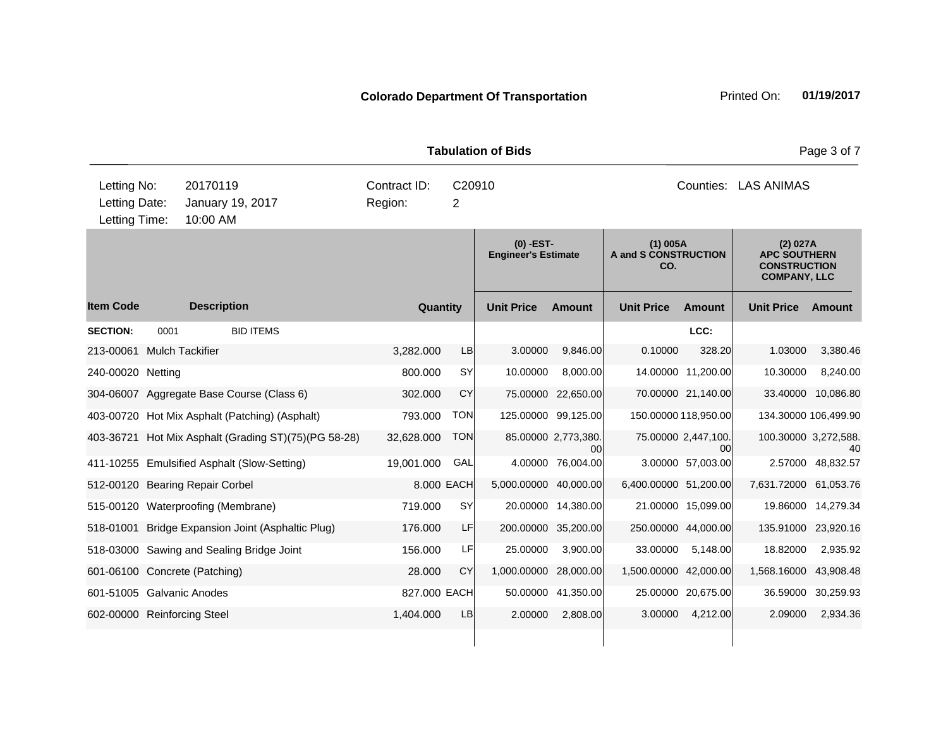|                                               |      |                                             |                         |            | <b>Tabulation of Bids</b>               |                           |                                           |                           |                                                                               | Page 3 of 7          |
|-----------------------------------------------|------|---------------------------------------------|-------------------------|------------|-----------------------------------------|---------------------------|-------------------------------------------|---------------------------|-------------------------------------------------------------------------------|----------------------|
| Letting No:<br>Letting Date:<br>Letting Time: |      | 20170119<br>January 19, 2017<br>10:00 AM    | Contract ID:<br>Region: | 2          | C20910                                  |                           |                                           | Counties:                 | <b>LAS ANIMAS</b>                                                             |                      |
|                                               |      |                                             |                         |            | (0) -EST-<br><b>Engineer's Estimate</b> |                           | $(1)$ 005A<br>A and S CONSTRUCTION<br>CO. |                           | (2) 027A<br><b>APC SOUTHERN</b><br><b>CONSTRUCTION</b><br><b>COMPANY, LLC</b> |                      |
| <b>Item Code</b>                              |      | <b>Description</b>                          | Quantity                |            | <b>Unit Price</b>                       | <b>Amount</b>             | <b>Unit Price</b>                         | Amount                    | <b>Unit Price</b>                                                             | Amount               |
| <b>SECTION:</b>                               | 0001 | <b>BID ITEMS</b>                            |                         |            |                                         |                           |                                           | LCC:                      |                                                                               |                      |
| 213-00061                                     |      | <b>Mulch Tackifier</b>                      | 3,282.000               | LB         | 3.00000                                 | 9.846.00                  | 0.10000                                   | 328.20                    | 1.03000                                                                       | 3,380.46             |
| 240-00020 Netting                             |      |                                             | 800.000                 | <b>SY</b>  | 10.00000                                | 8.000.00                  |                                           | 14.00000 11,200.00        | 10.30000                                                                      | 8,240.00             |
|                                               |      | 304-06007 Aggregate Base Course (Class 6)   | 302.000                 | CY         | 75.00000                                | 22,650.00                 |                                           | 70.00000 21,140.00        | 33.40000                                                                      | 10,086.80            |
| 403-00720                                     |      | Hot Mix Asphalt (Patching) (Asphalt)        | 793.000                 | <b>TON</b> | 125.00000                               | 99,125.00                 |                                           | 150.00000 118,950.00      |                                                                               | 134.30000 106,499.90 |
| 403-36721                                     |      | Hot Mix Asphalt (Grading ST)(75)(PG 58-28)  | 32,628.000              | <b>TON</b> |                                         | 85.00000 2,773,380.<br>00 |                                           | 75.00000 2,447,100.<br>00 | 100.30000 3,272,588.                                                          | 40                   |
|                                               |      | 411-10255 Emulsified Asphalt (Slow-Setting) | 19,001.000              | GAL        |                                         | 4.00000 76,004.00         |                                           | 3.00000 57,003.00         | 2.57000                                                                       | 48,832.57            |
|                                               |      | 512-00120 Bearing Repair Corbel             |                         | 8.000 EACH | 5,000.00000                             | 40,000.00                 | 6,400.00000 51,200.00                     |                           | 7,631.72000 61,053.76                                                         |                      |
|                                               |      | 515-00120 Waterproofing (Membrane)          | 719.000                 | <b>SY</b>  |                                         | 20.00000 14,380.00        |                                           | 21.00000 15,099.00        |                                                                               | 19.86000 14,279.34   |
| 518-01001                                     |      | Bridge Expansion Joint (Asphaltic Plug)     | 176,000                 | LF         | 200.00000                               | 35,200.00                 |                                           | 250.00000 44,000.00       | 135.91000                                                                     | 23,920.16            |
|                                               |      | 518-03000 Sawing and Sealing Bridge Joint   | 156.000                 | LF         | 25.00000                                | 3,900.00                  | 33.00000                                  | 5,148.00                  | 18.82000                                                                      | 2,935.92             |
|                                               |      | 601-06100 Concrete (Patching)               | 28.000                  | CY         | 1,000.00000                             | 28,000.00                 | 1,500.00000 42,000.00                     |                           | 1,568.16000                                                                   | 43,908.48            |
| 601-51005 Galvanic Anodes                     |      |                                             | 827.000 EACH            |            | 50.00000                                | 41,350.00                 | 25.00000                                  | 20,675.00                 | 36.59000                                                                      | 30,259.93            |
| 602-00000 Reinforcing Steel                   |      |                                             | 1,404.000               | LB         | 2.00000                                 | 2,808.00                  | 3.00000                                   | 4,212.00                  | 2.09000                                                                       | 2,934.36             |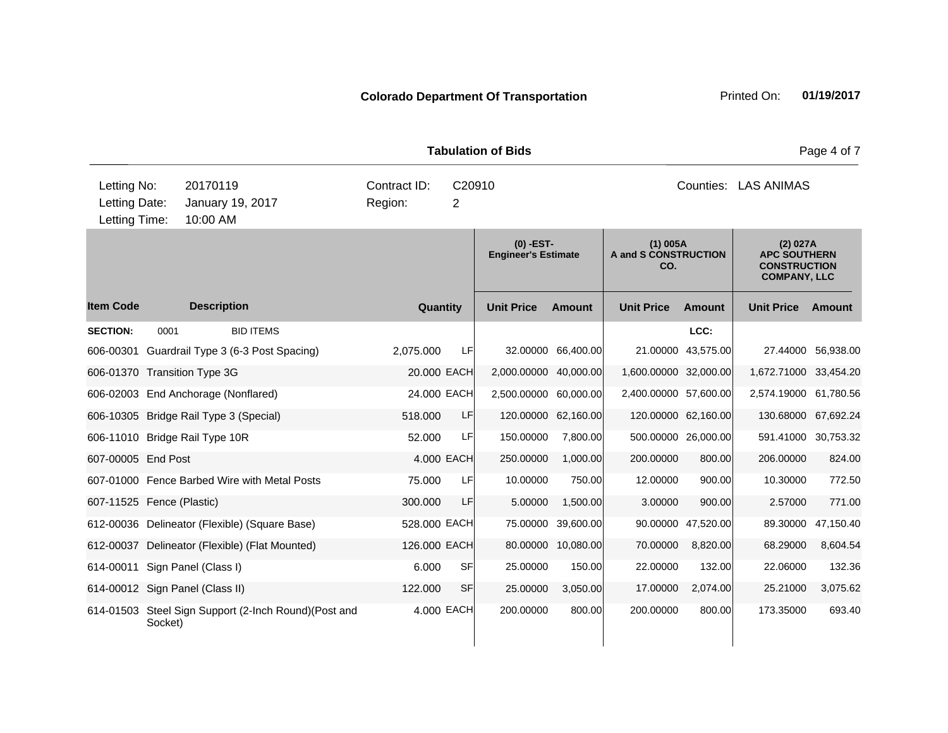|                                               |         |                      |                                                       |                         |             | <b>Tabulation of Bids</b>                 |                     |                                           |                     |                                                                               | Page 4 of 7        |
|-----------------------------------------------|---------|----------------------|-------------------------------------------------------|-------------------------|-------------|-------------------------------------------|---------------------|-------------------------------------------|---------------------|-------------------------------------------------------------------------------|--------------------|
| Letting No:<br>Letting Date:<br>Letting Time: |         | 20170119<br>10:00 AM | January 19, 2017                                      | Contract ID:<br>Region: | C20910<br>2 |                                           |                     |                                           |                     | Counties: LAS ANIMAS                                                          |                    |
|                                               |         |                      |                                                       |                         |             | $(0)$ -EST-<br><b>Engineer's Estimate</b> |                     | $(1)$ 005A<br>A and S CONSTRUCTION<br>CO. |                     | (2) 027A<br><b>APC SOUTHERN</b><br><b>CONSTRUCTION</b><br><b>COMPANY, LLC</b> |                    |
| <b>Item Code</b>                              |         | <b>Description</b>   |                                                       | Quantity                |             | <b>Unit Price</b>                         | <b>Amount</b>       | <b>Unit Price</b>                         | Amount              | <b>Unit Price</b>                                                             | Amount             |
| <b>SECTION:</b>                               | 0001    |                      | <b>BID ITEMS</b>                                      |                         |             |                                           |                     |                                           | LCC:                |                                                                               |                    |
| 606-00301                                     |         |                      | Guardrail Type 3 (6-3 Post Spacing)                   | 2,075.000               | LF          |                                           | 32.00000 66,400.00  |                                           | 21.00000 43,575.00  |                                                                               | 27.44000 56,938.00 |
| 606-01370 Transition Type 3G                  |         |                      |                                                       | 20.000 EACH             |             | 2,000.00000 40,000.00                     |                     | 1,600.00000 32,000.00                     |                     | 1,672.71000 33,454.20                                                         |                    |
| 606-02003 End Anchorage (Nonflared)           |         |                      |                                                       | 24.000 EACH             |             | 2,500.00000 60,000.00                     |                     | 2,400.00000 57,600.00                     |                     | 2,574.19000 61,780.56                                                         |                    |
| 606-10305 Bridge Rail Type 3 (Special)        |         |                      |                                                       | 518.000                 | LF          |                                           | 120.00000 62,160.00 |                                           | 120.00000 62,160.00 | 130.68000                                                                     | 67,692.24          |
| 606-11010 Bridge Rail Type 10R                |         |                      |                                                       | 52.000                  | LF          | 150.00000                                 | 7,800.00            |                                           | 500.00000 26,000.00 | 591.41000 30,753.32                                                           |                    |
| 607-00005 End Post                            |         |                      |                                                       |                         | 4.000 EACH  | 250.00000                                 | 1,000.00            | 200.00000                                 | 800.00              | 206.00000                                                                     | 824.00             |
|                                               |         |                      | 607-01000 Fence Barbed Wire with Metal Posts          | 75,000                  | <b>LF</b>   | 10.00000                                  | 750.00              | 12.00000                                  | 900.00              | 10.30000                                                                      | 772.50             |
| 607-11525 Fence (Plastic)                     |         |                      |                                                       | 300.000                 | LF          | 5.00000                                   | 1,500.00            | 3.00000                                   | 900.00              | 2.57000                                                                       | 771.00             |
|                                               |         |                      | 612-00036 Delineator (Flexible) (Square Base)         | 528.000 EACH            |             | 75.00000                                  | 39,600.00           |                                           | 90.00000 47,520.00  | 89.30000                                                                      | 47,150.40          |
|                                               |         |                      | 612-00037 Delineator (Flexible) (Flat Mounted)        | 126.000 EACH            |             |                                           | 80.00000 10,080.00  | 70.00000                                  | 8,820.00            | 68.29000                                                                      | 8,604.54           |
| 614-00011 Sign Panel (Class I)                |         |                      |                                                       | 6.000                   | <b>SF</b>   | 25.00000                                  | 150.00              | 22.00000                                  | 132.00              | 22.06000                                                                      | 132.36             |
| 614-00012 Sign Panel (Class II)               |         |                      |                                                       | 122.000                 | <b>SF</b>   | 25.00000                                  | 3,050.00            | 17.00000                                  | 2,074.00            | 25.21000                                                                      | 3,075.62           |
|                                               | Socket) |                      | 614-01503 Steel Sign Support (2-Inch Round) (Post and |                         | 4.000 EACH  | 200.00000                                 | 800.00              | 200.00000                                 | 800.00              | 173.35000                                                                     | 693.40             |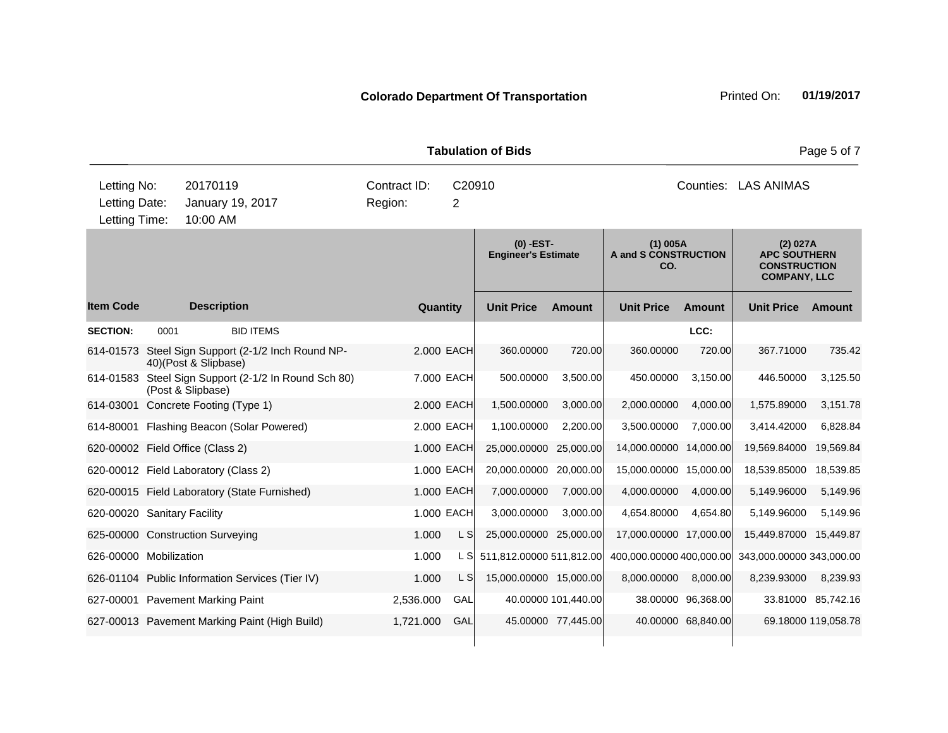| Letting No:<br>20170119<br>Contract ID:<br>C20910<br>Counties: LAS ANIMAS<br>Letting Date:<br>January 19, 2017<br>Region:<br>$\overline{2}$<br>10:00 AM<br>Letting Time:<br>$(0)$ -EST-<br>$(1)$ 005A<br>(2) 027A<br>A and S CONSTRUCTION<br><b>APC SOUTHERN</b><br><b>Engineer's Estimate</b><br><b>CONSTRUCTION</b><br>CO.<br><b>COMPANY, LLC</b><br><b>Item Code</b><br><b>Description</b><br><b>Unit Price</b><br><b>Unit Price</b><br><b>Unit Price</b><br>Quantity<br><b>Amount</b><br>Amount<br>Amount<br><b>SECTION:</b><br><b>BID ITEMS</b><br>LCC:<br>0001<br>Steel Sign Support (2-1/2 Inch Round NP-<br>360.00000<br>720.00<br>720.00<br>614-01573<br>2.000 EACH<br>360.00000<br>367.71000<br>40)(Post & Slipbase) | Page 5 of 7 |
|--------------------------------------------------------------------------------------------------------------------------------------------------------------------------------------------------------------------------------------------------------------------------------------------------------------------------------------------------------------------------------------------------------------------------------------------------------------------------------------------------------------------------------------------------------------------------------------------------------------------------------------------------------------------------------------------------------------------------------|-------------|
|                                                                                                                                                                                                                                                                                                                                                                                                                                                                                                                                                                                                                                                                                                                                |             |
|                                                                                                                                                                                                                                                                                                                                                                                                                                                                                                                                                                                                                                                                                                                                |             |
|                                                                                                                                                                                                                                                                                                                                                                                                                                                                                                                                                                                                                                                                                                                                |             |
|                                                                                                                                                                                                                                                                                                                                                                                                                                                                                                                                                                                                                                                                                                                                |             |
|                                                                                                                                                                                                                                                                                                                                                                                                                                                                                                                                                                                                                                                                                                                                | 735.42      |
| Steel Sign Support (2-1/2 In Round Sch 80)<br>7.000 EACH<br>500.00000<br>3,500.00<br>450.00000<br>3,150.00<br>446.50000<br>614-01583<br>(Post & Slipbase)                                                                                                                                                                                                                                                                                                                                                                                                                                                                                                                                                                      | 3,125.50    |
| Concrete Footing (Type 1)<br>2.000 EACH<br>1,500.00000<br>3,000.00<br>2,000.00000<br>4,000.00<br>1,575.89000<br>614-03001                                                                                                                                                                                                                                                                                                                                                                                                                                                                                                                                                                                                      | 3,151.78    |
| 2.000 EACH<br>3,500.00000<br>7,000.00<br>3,414.42000<br>614-80001 Flashing Beacon (Solar Powered)<br>1,100.00000<br>2,200.00                                                                                                                                                                                                                                                                                                                                                                                                                                                                                                                                                                                                   | 6,828.84    |
| 1.000 EACH<br>19,569.84000<br>620-00002 Field Office (Class 2)<br>25,000.00000<br>25,000.00<br>14,000.00000<br>14,000.00                                                                                                                                                                                                                                                                                                                                                                                                                                                                                                                                                                                                       | 19,569.84   |
| 1.000 EACH<br>20,000.00000<br>18,539.85000<br>620-00012 Field Laboratory (Class 2)<br>20,000.00<br>15,000.00000 15,000.00                                                                                                                                                                                                                                                                                                                                                                                                                                                                                                                                                                                                      | 18,539.85   |
| 1.000 EACH<br>7,000.00000<br>7,000.00<br>4,000.00000<br>4,000.00<br>5,149.96000<br>620-00015 Field Laboratory (State Furnished)                                                                                                                                                                                                                                                                                                                                                                                                                                                                                                                                                                                                | 5,149.96    |
| 1.000 EACH<br>620-00020 Sanitary Facility<br>3,000.00000<br>3,000.00<br>4,654.80000<br>4,654.80<br>5,149.96000                                                                                                                                                                                                                                                                                                                                                                                                                                                                                                                                                                                                                 | 5,149.96    |
| 1.000<br>L S<br>25,000.00000 25,000.00<br>17,000.00000 17,000.00<br>15,449.87000<br>625-00000 Construction Surveying                                                                                                                                                                                                                                                                                                                                                                                                                                                                                                                                                                                                           | 15,449.87   |
| 626-00000 Mobilization<br>1.000<br>L S<br>511,812.00000 511,812.00<br>400,000.00000 400,000.00<br>343,000.00000 343,000.00                                                                                                                                                                                                                                                                                                                                                                                                                                                                                                                                                                                                     |             |
| 626-01104 Public Information Services (Tier IV)<br>1.000<br>L SI<br>15,000.00000 15,000.00<br>8,000.00000<br>8,000.00<br>8,239.93000                                                                                                                                                                                                                                                                                                                                                                                                                                                                                                                                                                                           | 8,239.93    |
| 627-00001 Pavement Marking Paint<br>2,536.000<br>GAL<br>40.00000 101,440.00<br>38.00000 96,368.00<br>33.81000 85,742.16                                                                                                                                                                                                                                                                                                                                                                                                                                                                                                                                                                                                        |             |
| 1,721.000<br>GAL<br>45.00000 77,445.00<br>40.00000 68,840.00<br>69.18000 119,058.78<br>627-00013 Pavement Marking Paint (High Build)                                                                                                                                                                                                                                                                                                                                                                                                                                                                                                                                                                                           |             |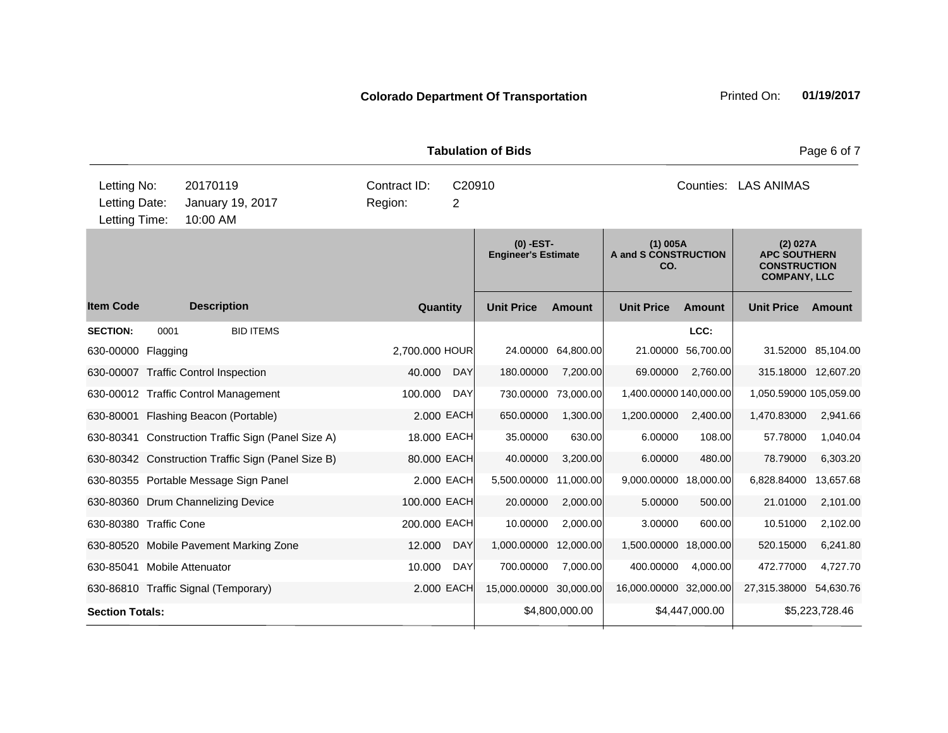|                             |      |                                                    |                |            | <b>Tabulation of Bids</b>                 |                    |                                           |                |                                                                               | Page 6 of 7         |
|-----------------------------|------|----------------------------------------------------|----------------|------------|-------------------------------------------|--------------------|-------------------------------------------|----------------|-------------------------------------------------------------------------------|---------------------|
| Letting No:                 |      | 20170119                                           | Contract ID:   | C20910     |                                           |                    |                                           | Counties:      | <b>LAS ANIMAS</b>                                                             |                     |
| Letting Date:               |      | January 19, 2017                                   | Region:        | 2          |                                           |                    |                                           |                |                                                                               |                     |
| Letting Time:               |      | 10:00 AM                                           |                |            |                                           |                    |                                           |                |                                                                               |                     |
|                             |      |                                                    |                |            | $(0)$ -EST-<br><b>Engineer's Estimate</b> |                    | $(1)$ 005A<br>A and S CONSTRUCTION<br>CO. |                | (2) 027A<br><b>APC SOUTHERN</b><br><b>CONSTRUCTION</b><br><b>COMPANY, LLC</b> |                     |
| <b>Item Code</b>            |      | <b>Description</b>                                 | Quantity       |            | <b>Unit Price</b>                         | <b>Amount</b>      | <b>Unit Price</b>                         | Amount         | <b>Unit Price</b>                                                             | <b>Amount</b>       |
| <b>SECTION:</b>             | 0001 | <b>BID ITEMS</b>                                   |                |            |                                           |                    |                                           | LCC:           |                                                                               |                     |
| 630-00000 Flagging          |      |                                                    | 2,700.000 HOUR |            |                                           | 24.00000 64,800.00 | 21.00000                                  | 56,700.00      |                                                                               | 31.52000 85,104.00  |
|                             |      | 630-00007 Traffic Control Inspection               | 40.000         | <b>DAY</b> | 180.00000                                 | 7,200.00           | 69.00000                                  | 2,760.00       |                                                                               | 315.18000 12,607.20 |
|                             |      | 630-00012 Traffic Control Management               | 100.000        | <b>DAY</b> | 730.00000                                 | 73,000.00          | 1,400.00000 140,000.00                    |                | 1,050.59000 105,059.00                                                        |                     |
| 630-80001                   |      | Flashing Beacon (Portable)                         |                | 2.000 EACH | 650.00000                                 | 1,300.00           | 1,200.00000                               | 2,400.00       | 1,470.83000                                                                   | 2,941.66            |
|                             |      | 630-80341 Construction Traffic Sign (Panel Size A) | 18.000 EACH    |            | 35.00000                                  | 630.00             | 6.00000                                   | 108.00         | 57.78000                                                                      | 1,040.04            |
|                             |      | 630-80342 Construction Traffic Sign (Panel Size B) | 80.000 EACH    |            | 40.00000                                  | 3,200.00           | 6.00000                                   | 480.00         | 78.79000                                                                      | 6,303.20            |
|                             |      | 630-80355 Portable Message Sign Panel              |                | 2.000 EACH | 5,500.00000                               | 11,000.00          | 9,000.00000                               | 18,000.00      | 6,828.84000                                                                   | 13,657.68           |
|                             |      | 630-80360 Drum Channelizing Device                 | 100.000 EACH   |            | 20.00000                                  | 2,000.00           | 5.00000                                   | 500.00         | 21.01000                                                                      | 2,101.00            |
| 630-80380 Traffic Cone      |      |                                                    | 200.000 EACH   |            | 10.00000                                  | 2,000.00           | 3.00000                                   | 600.00         | 10.51000                                                                      | 2,102.00            |
|                             |      | 630-80520 Mobile Pavement Marking Zone             | 12.000         | <b>DAY</b> | 1,000.00000                               | 12,000.00          | 1,500.00000                               | 18,000.00      | 520.15000                                                                     | 6,241.80            |
| 630-85041 Mobile Attenuator |      |                                                    | 10.000         | <b>DAY</b> | 700.00000                                 | 7,000.00           | 400.00000                                 | 4,000.00       | 472.77000                                                                     | 4,727.70            |
|                             |      | 630-86810 Traffic Signal (Temporary)               |                | 2.000 EACH | 15,000.00000                              | 30,000.00          | 16,000.00000 32,000.00                    |                | 27,315.38000                                                                  | 54,630.76           |
| <b>Section Totals:</b>      |      |                                                    |                |            |                                           | \$4,800,000.00     |                                           | \$4,447,000.00 |                                                                               | \$5,223,728.46      |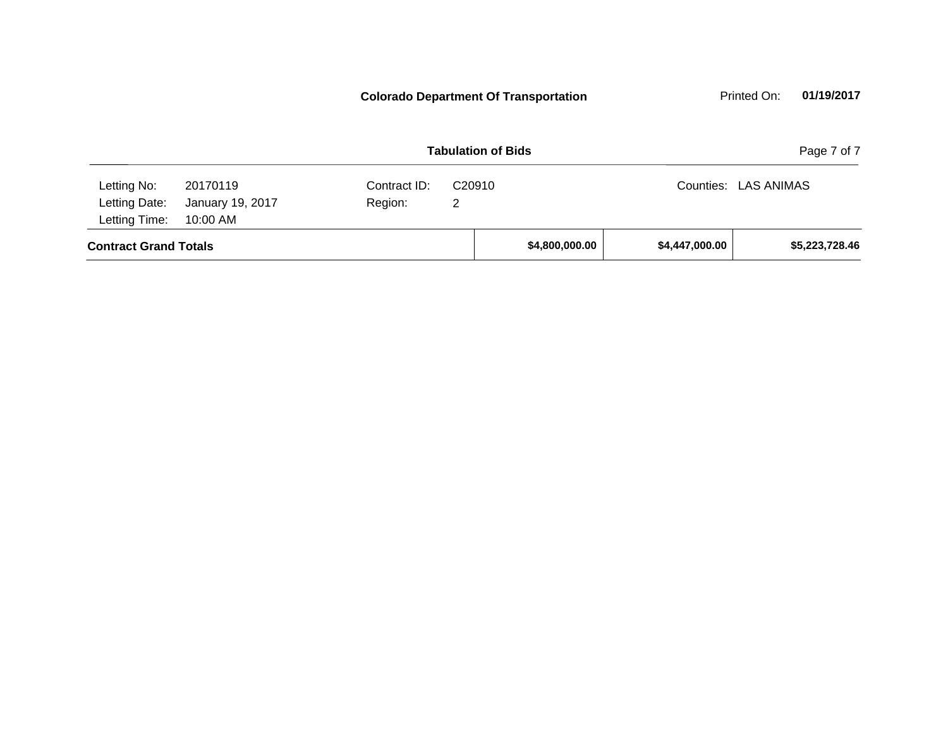**Contract Grand Totals \$4,800,000.00 \$4,447,000.00 \$5,223,728.46 Tabulation of Bids** Page 7 of 7 10:00 AM Counties: LAS ANIMAS Letting Date: January 19, 2017 Region: 2 C20910 Region: Letting Time: Letting No: 20170119 Contract ID: **Colorado Department Of Transportation** Printed On: 01/19/2017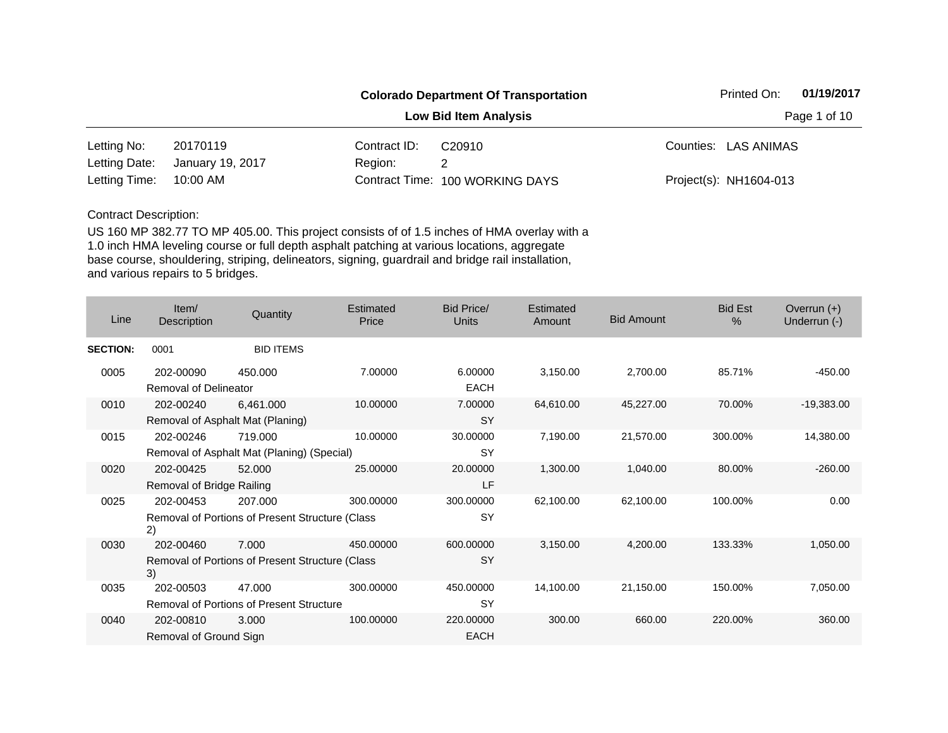|               |                  |              | <b>Colorado Department Of Transportation</b> | 01/19/2017<br>Printed On: |
|---------------|------------------|--------------|----------------------------------------------|---------------------------|
|               |                  |              | <b>Low Bid Item Analysis</b>                 | Page 1 of 10              |
| Letting No:   | 20170119         | Contract ID: | C <sub>20910</sub>                           | Counties: LAS ANIMAS      |
| Letting Date: | January 19, 2017 | Region:      |                                              |                           |
| Letting Time: | 10:00 AM         |              | Contract Time: 100 WORKING DAYS              | Project(s): NH1604-013    |

| Line            | Item/<br>Description                      | Quantity                                                   | Estimated<br>Price | Bid Price/<br><b>Units</b> | Estimated<br>Amount | <b>Bid Amount</b> | <b>Bid Est</b><br>$\frac{0}{0}$ | Overrun $(+)$<br>Underrun (-) |
|-----------------|-------------------------------------------|------------------------------------------------------------|--------------------|----------------------------|---------------------|-------------------|---------------------------------|-------------------------------|
| <b>SECTION:</b> | 0001                                      | <b>BID ITEMS</b>                                           |                    |                            |                     |                   |                                 |                               |
| 0005            | 202-00090<br><b>Removal of Delineator</b> | 450.000                                                    | 7.00000            | 6.00000<br><b>EACH</b>     | 3,150.00            | 2,700.00          | 85.71%                          | $-450.00$                     |
| 0010            | 202-00240                                 | 6,461.000<br>Removal of Asphalt Mat (Planing)              | 10.00000           | 7.00000<br><b>SY</b>       | 64,610.00           | 45,227.00         | 70.00%                          | $-19,383.00$                  |
| 0015            | 202-00246                                 | 719,000<br>Removal of Asphalt Mat (Planing) (Special)      | 10.00000           | 30.00000<br><b>SY</b>      | 7,190.00            | 21,570.00         | 300.00%                         | 14,380.00                     |
| 0020            | 202-00425<br>Removal of Bridge Railing    | 52.000                                                     | 25.00000           | 20.00000<br>LF             | 1,300.00            | 1,040.00          | 80.00%                          | $-260.00$                     |
| 0025            | 202-00453<br>2)                           | 207.000<br>Removal of Portions of Present Structure (Class | 300.00000          | 300.00000<br><b>SY</b>     | 62,100.00           | 62,100.00         | 100.00%                         | 0.00                          |
| 0030            | 202-00460<br>3)                           | 7.000<br>Removal of Portions of Present Structure (Class   | 450.00000          | 600.00000<br><b>SY</b>     | 3,150.00            | 4,200.00          | 133.33%                         | 1,050.00                      |
| 0035            | 202-00503                                 | 47.000<br><b>Removal of Portions of Present Structure</b>  | 300.00000          | 450.00000<br><b>SY</b>     | 14,100.00           | 21,150.00         | 150.00%                         | 7,050.00                      |
| 0040            | 202-00810<br>Removal of Ground Sign       | 3.000                                                      | 100.00000          | 220.00000<br><b>EACH</b>   | 300.00              | 660.00            | 220.00%                         | 360.00                        |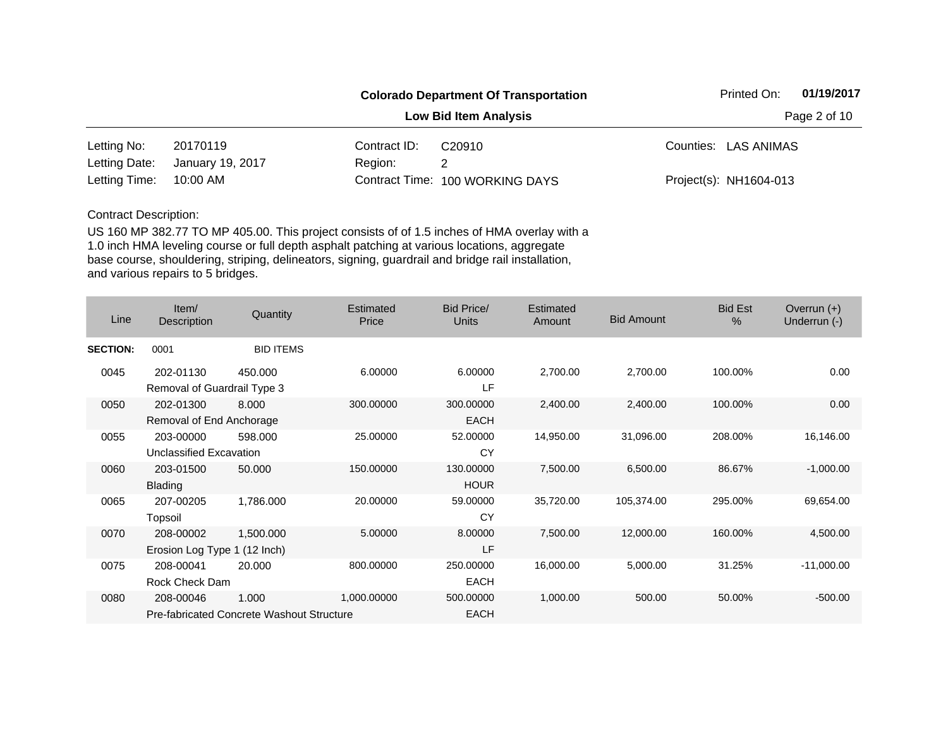|               |                  |              | <b>Colorado Department Of Transportation</b> | 01/19/2017<br>Printed On: |
|---------------|------------------|--------------|----------------------------------------------|---------------------------|
|               |                  |              | <b>Low Bid Item Analysis</b>                 | Page 2 of 10              |
| Letting No:   | 20170119         | Contract ID: | C <sub>20910</sub>                           | Counties: LAS ANIMAS      |
| Letting Date: | January 19, 2017 | Region:      |                                              |                           |
| Letting Time: | 10:00 AM         |              | Contract Time: 100 WORKING DAYS              | Project(s): NH1604-013    |

| Line            | Item/<br>Description                      | Quantity                                                  | Estimated<br>Price | <b>Bid Price/</b><br><b>Units</b> | Estimated<br>Amount | <b>Bid Amount</b> | <b>Bid Est</b><br>$\%$ | Overrun $(+)$<br>Underrun (-) |
|-----------------|-------------------------------------------|-----------------------------------------------------------|--------------------|-----------------------------------|---------------------|-------------------|------------------------|-------------------------------|
| <b>SECTION:</b> | 0001                                      | <b>BID ITEMS</b>                                          |                    |                                   |                     |                   |                        |                               |
| 0045            | 202-01130<br>Removal of Guardrail Type 3  | 450.000                                                   | 6.00000            | 6.00000<br>LF                     | 2,700.00            | 2,700.00          | 100.00%                | 0.00                          |
| 0050            | 202-01300<br>Removal of End Anchorage     | 8.000                                                     | 300.00000          | 300.00000<br><b>EACH</b>          | 2,400.00            | 2,400.00          | 100.00%                | 0.00                          |
| 0055            | 203-00000<br>Unclassified Excavation      | 598,000                                                   | 25.00000           | 52.00000<br>CY                    | 14,950.00           | 31,096.00         | 208.00%                | 16,146.00                     |
| 0060            | 203-01500<br><b>Blading</b>               | 50.000                                                    | 150.00000          | 130.00000<br><b>HOUR</b>          | 7,500.00            | 6,500.00          | 86.67%                 | $-1,000.00$                   |
| 0065            | 207-00205<br>Topsoil                      | 1,786.000                                                 | 20.00000           | 59.00000<br>CY                    | 35,720.00           | 105,374.00        | 295.00%                | 69,654.00                     |
| 0070            | 208-00002<br>Erosion Log Type 1 (12 Inch) | 1,500.000                                                 | 5.00000            | 8.00000<br>LF                     | 7,500.00            | 12,000.00         | 160.00%                | 4,500.00                      |
| 0075            | 208-00041<br>Rock Check Dam               | 20.000                                                    | 800.00000          | 250.00000<br><b>EACH</b>          | 16,000.00           | 5,000.00          | 31.25%                 | $-11,000.00$                  |
| 0080            | 208-00046                                 | 1.000<br><b>Pre-fabricated Concrete Washout Structure</b> | 1,000.00000        | 500.00000<br>EACH                 | 1,000.00            | 500.00            | 50.00%                 | $-500.00$                     |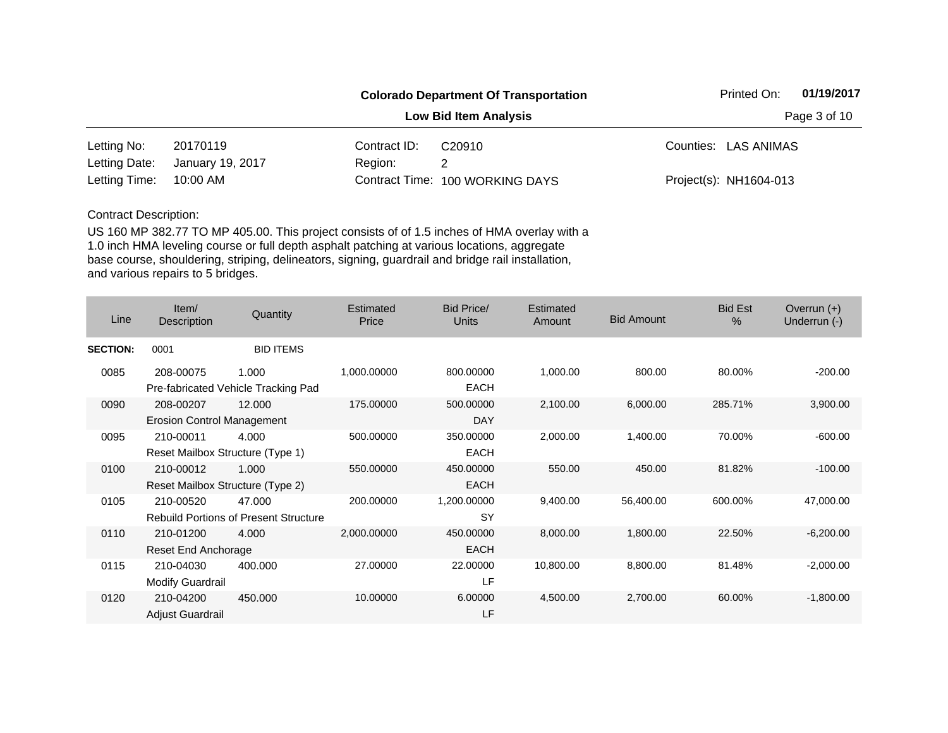|               |                  |              | <b>Colorado Department Of Transportation</b> | 01/19/2017<br>Printed On: |  |  |
|---------------|------------------|--------------|----------------------------------------------|---------------------------|--|--|
|               |                  |              | <b>Low Bid Item Analysis</b>                 | Page 3 of 10              |  |  |
| Letting No:   | 20170119         | Contract ID: | C <sub>20910</sub>                           | Counties: LAS ANIMAS      |  |  |
| Letting Date: | January 19, 2017 | Region:      |                                              |                           |  |  |
| Letting Time: | 10:00 AM         |              | Contract Time: 100 WORKING DAYS              | Project(s): NH1604-013    |  |  |

| Line            | Item/<br>Description                           | Quantity                                               | Estimated<br>Price | Bid Price/<br>Units      | <b>Estimated</b><br>Amount | <b>Bid Amount</b> | <b>Bid Est</b><br>$\%$ | Overrun $(+)$<br>Underrun (-) |
|-----------------|------------------------------------------------|--------------------------------------------------------|--------------------|--------------------------|----------------------------|-------------------|------------------------|-------------------------------|
| <b>SECTION:</b> | 0001                                           | <b>BID ITEMS</b>                                       |                    |                          |                            |                   |                        |                               |
| 0085            | 208-00075                                      | 1.000<br>Pre-fabricated Vehicle Tracking Pad           | 1,000.00000        | 800.00000<br><b>EACH</b> | 1,000.00                   | 800.00            | 80.00%                 | $-200.00$                     |
| 0090            | 208-00207<br><b>Erosion Control Management</b> | 12.000                                                 | 175.00000          | 500.00000<br><b>DAY</b>  | 2,100.00                   | 6,000.00          | 285.71%                | 3,900.00                      |
| 0095            | 210-00011<br>Reset Mailbox Structure (Type 1)  | 4.000                                                  | 500.00000          | 350.00000<br><b>EACH</b> | 2,000.00                   | 1,400.00          | 70.00%                 | $-600.00$                     |
| 0100            | 210-00012<br>Reset Mailbox Structure (Type 2)  | 1.000                                                  | 550.00000          | 450.00000<br><b>EACH</b> | 550.00                     | 450.00            | 81.82%                 | $-100.00$                     |
| 0105            | 210-00520                                      | 47.000<br><b>Rebuild Portions of Present Structure</b> | 200.00000          | 1,200.00000<br><b>SY</b> | 9,400.00                   | 56,400.00         | 600.00%                | 47,000.00                     |
| 0110            | 210-01200<br>Reset End Anchorage               | 4.000                                                  | 2,000.00000        | 450.00000<br><b>EACH</b> | 8,000.00                   | 1,800.00          | 22.50%                 | $-6,200.00$                   |
| 0115            | 210-04030<br>Modify Guardrail                  | 400.000                                                | 27.00000           | 22.00000<br>LF           | 10,800.00                  | 8,800.00          | 81.48%                 | $-2,000.00$                   |
| 0120            | 210-04200<br>Adjust Guardrail                  | 450.000                                                | 10.00000           | 6.00000<br>LF            | 4,500.00                   | 2,700.00          | 60.00%                 | $-1,800.00$                   |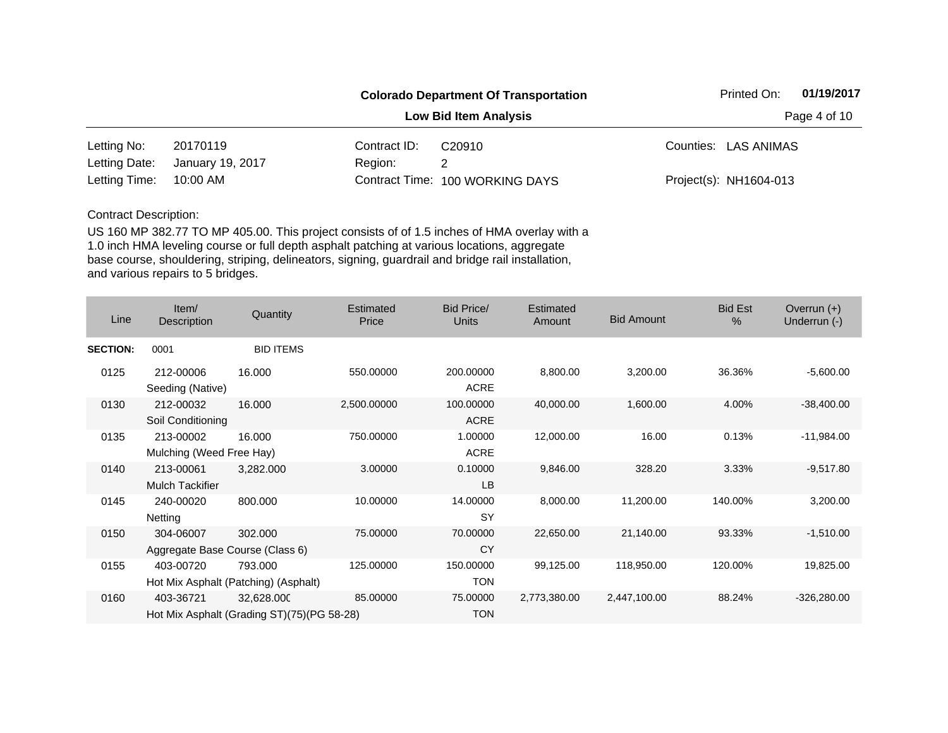|               |                  |              | <b>Colorado Department Of Transportation</b> | 01/19/2017<br>Printed On: |  |  |
|---------------|------------------|--------------|----------------------------------------------|---------------------------|--|--|
|               |                  |              | <b>Low Bid Item Analysis</b>                 | Page 4 of 10              |  |  |
| Letting No:   | 20170119         | Contract ID: | C <sub>20910</sub>                           | Counties: LAS ANIMAS      |  |  |
| Letting Date: | January 19, 2017 | Region:      |                                              |                           |  |  |
| Letting Time: | 10:00 AM         |              | Contract Time: 100 WORKING DAYS              | Project(s): NH1604-013    |  |  |

| Line            | Item/<br>Description                         | Quantity                                                 | <b>Estimated</b><br>Price | Bid Price/<br><b>Units</b> | <b>Estimated</b><br>Amount | <b>Bid Amount</b> | <b>Bid Est</b><br>% | Overrun $(+)$<br>Underrun (-) |
|-----------------|----------------------------------------------|----------------------------------------------------------|---------------------------|----------------------------|----------------------------|-------------------|---------------------|-------------------------------|
| <b>SECTION:</b> | 0001                                         | <b>BID ITEMS</b>                                         |                           |                            |                            |                   |                     |                               |
| 0125            | 212-00006<br>Seeding (Native)                | 16.000                                                   | 550.00000                 | 200.00000<br><b>ACRE</b>   | 8,800.00                   | 3,200.00          | 36.36%              | $-5,600.00$                   |
| 0130            | 212-00032<br>Soil Conditioning               | 16.000                                                   | 2,500.00000               | 100.00000<br><b>ACRE</b>   | 40,000.00                  | 1,600.00          | 4.00%               | $-38,400.00$                  |
| 0135            | 213-00002<br>Mulching (Weed Free Hay)        | 16.000                                                   | 750.00000                 | 1.00000<br><b>ACRE</b>     | 12,000.00                  | 16.00             | 0.13%               | $-11,984.00$                  |
| 0140            | 213-00061<br><b>Mulch Tackifier</b>          | 3,282.000                                                | 3.00000                   | 0.10000<br><b>LB</b>       | 9,846.00                   | 328.20            | 3.33%               | $-9,517.80$                   |
| 0145            | 240-00020<br>Netting                         | 800.000                                                  | 10.00000                  | 14.00000<br><b>SY</b>      | 8,000.00                   | 11,200.00         | 140.00%             | 3,200.00                      |
| 0150            | 304-06007<br>Aggregate Base Course (Class 6) | 302.000                                                  | 75.00000                  | 70.00000<br><b>CY</b>      | 22,650.00                  | 21,140.00         | 93.33%              | $-1,510.00$                   |
| 0155            | 403-00720                                    | 793.000<br>Hot Mix Asphalt (Patching) (Asphalt)          | 125.00000                 | 150.00000<br><b>TON</b>    | 99,125.00                  | 118,950.00        | 120.00%             | 19,825.00                     |
| 0160            | 403-36721                                    | 32,628.000<br>Hot Mix Asphalt (Grading ST)(75)(PG 58-28) | 85.00000                  | 75.00000<br><b>TON</b>     | 2,773,380.00               | 2,447,100.00      | 88.24%              | $-326,280.00$                 |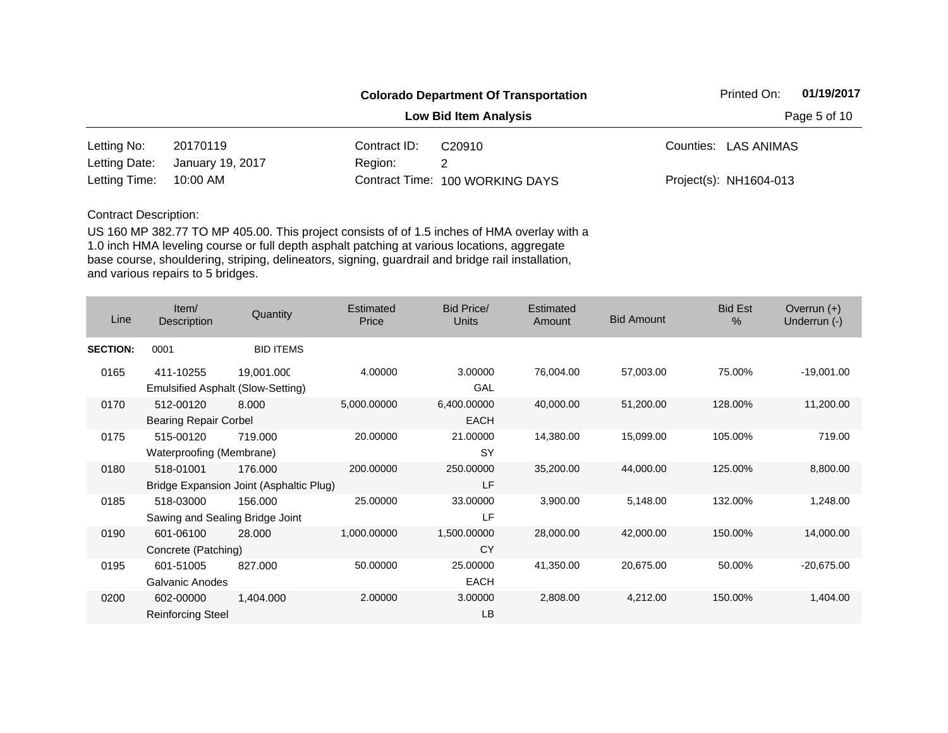|               |                  |              | <b>Colorado Department Of Transportation</b> | 01/19/2017<br>Printed On: |  |  |
|---------------|------------------|--------------|----------------------------------------------|---------------------------|--|--|
|               |                  |              | <b>Low Bid Item Analysis</b>                 | Page 5 of 10              |  |  |
| Letting No:   | 20170119         | Contract ID: | C <sub>20910</sub>                           | Counties: LAS ANIMAS      |  |  |
| Letting Date: | January 19, 2017 | Region:      |                                              |                           |  |  |
| Letting Time: | 10:00 AM         |              | Contract Time: 100 WORKING DAYS              | Project(s): NH1604-013    |  |  |

| Line            | Item/<br>Description                         | Quantity                                           | Estimated<br>Price | <b>Bid Price/</b><br><b>Units</b> | Estimated<br>Amount | <b>Bid Amount</b> | <b>Bid Est</b><br>$\%$ | Overrun $(+)$<br>Underrun (-) |
|-----------------|----------------------------------------------|----------------------------------------------------|--------------------|-----------------------------------|---------------------|-------------------|------------------------|-------------------------------|
| <b>SECTION:</b> | 0001                                         | <b>BID ITEMS</b>                                   |                    |                                   |                     |                   |                        |                               |
| 0165            | 411-10255                                    | 19,001.000<br>Emulsified Asphalt (Slow-Setting)    | 4.00000            | 3.00000<br>GAL                    | 76,004.00           | 57,003.00         | 75.00%                 | $-19,001.00$                  |
| 0170            | 512-00120<br><b>Bearing Repair Corbel</b>    | 8.000                                              | 5,000.00000        | 6,400.00000<br><b>EACH</b>        | 40,000.00           | 51,200.00         | 128.00%                | 11,200.00                     |
| 0175            | 515-00120<br>Waterproofing (Membrane)        | 719.000                                            | 20.00000           | 21.00000<br>SY                    | 14,380.00           | 15,099.00         | 105.00%                | 719.00                        |
| 0180            | 518-01001                                    | 176,000<br>Bridge Expansion Joint (Asphaltic Plug) | 200.00000          | 250.00000<br>LF                   | 35,200.00           | 44,000.00         | 125.00%                | 8,800.00                      |
| 0185            | 518-03000<br>Sawing and Sealing Bridge Joint | 156.000                                            | 25.00000           | 33.00000<br>LF                    | 3,900.00            | 5,148.00          | 132.00%                | 1,248.00                      |
| 0190            | 601-06100<br>Concrete (Patching)             | 28.000                                             | 1,000.00000        | 1,500.00000<br><b>CY</b>          | 28,000.00           | 42,000.00         | 150.00%                | 14,000.00                     |
| 0195            | 601-51005<br>Galvanic Anodes                 | 827.000                                            | 50.00000           | 25.00000<br><b>EACH</b>           | 41,350.00           | 20,675.00         | 50.00%                 | $-20,675.00$                  |
| 0200            | 602-00000<br><b>Reinforcing Steel</b>        | 1,404.000                                          | 2.00000            | 3.00000<br>LB                     | 2,808.00            | 4,212.00          | 150.00%                | 1,404.00                      |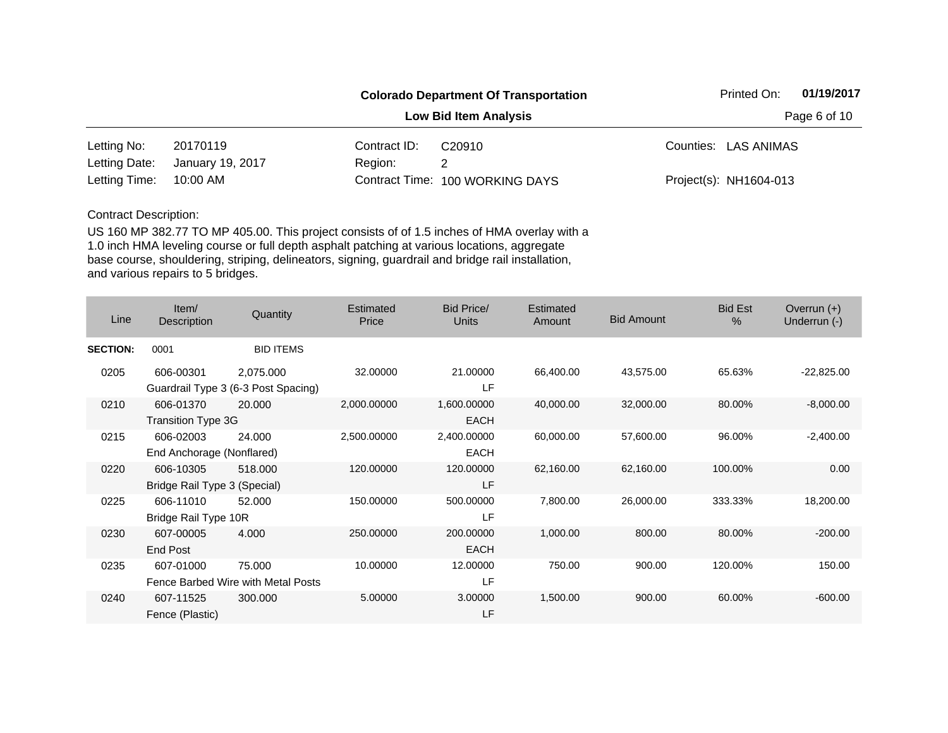|               |                  |              | <b>Colorado Department Of Transportation</b> | Printed On:            | 01/19/2017 |  |
|---------------|------------------|--------------|----------------------------------------------|------------------------|------------|--|
|               |                  |              | <b>Low Bid Item Analysis</b>                 | Page 6 of 10           |            |  |
| Letting No:   | 20170119         | Contract ID: | C <sub>20910</sub>                           | Counties: LAS ANIMAS   |            |  |
| Letting Date: | January 19, 2017 | Region:      |                                              |                        |            |  |
| Letting Time: | 10:00 AM         |              | Contract Time: 100 WORKING DAYS              | Project(s): NH1604-013 |            |  |

| Line            | Item/<br>Description                      | Quantity                                         | Estimated<br>Price | Bid Price/<br><b>Units</b> | <b>Estimated</b><br>Amount | <b>Bid Amount</b> | <b>Bid Est</b><br>$\%$ | Overrun $(+)$<br>Underrun (-) |
|-----------------|-------------------------------------------|--------------------------------------------------|--------------------|----------------------------|----------------------------|-------------------|------------------------|-------------------------------|
| <b>SECTION:</b> | 0001                                      | <b>BID ITEMS</b>                                 |                    |                            |                            |                   |                        |                               |
| 0205            | 606-00301                                 | 2,075.000<br>Guardrail Type 3 (6-3 Post Spacing) | 32.00000           | 21.00000<br>LF             | 66,400.00                  | 43,575.00         | 65.63%                 | $-22,825.00$                  |
| 0210            | 606-01370<br>Transition Type 3G           | 20.000                                           | 2,000.00000        | 1,600.00000<br><b>EACH</b> | 40,000.00                  | 32,000.00         | 80.00%                 | $-8,000.00$                   |
| 0215            | 606-02003<br>End Anchorage (Nonflared)    | 24.000                                           | 2,500.00000        | 2,400.00000<br><b>EACH</b> | 60,000.00                  | 57,600.00         | 96.00%                 | $-2,400.00$                   |
| 0220            | 606-10305<br>Bridge Rail Type 3 (Special) | 518.000                                          | 120.00000          | 120.00000<br>LF            | 62,160.00                  | 62,160.00         | 100.00%                | 0.00                          |
| 0225            | 606-11010<br>Bridge Rail Type 10R         | 52.000                                           | 150.00000          | 500.00000<br>LF            | 7,800.00                   | 26,000.00         | 333.33%                | 18,200.00                     |
| 0230            | 607-00005<br>End Post                     | 4.000                                            | 250,00000          | 200.00000<br><b>EACH</b>   | 1,000.00                   | 800.00            | 80.00%                 | $-200.00$                     |
| 0235            | 607-01000                                 | 75.000<br>Fence Barbed Wire with Metal Posts     | 10.00000           | 12.00000<br>LF             | 750.00                     | 900.00            | 120.00%                | 150.00                        |
| 0240            | 607-11525<br>Fence (Plastic)              | 300,000                                          | 5.00000            | 3.00000<br>LF              | 1,500.00                   | 900.00            | 60.00%                 | $-600.00$                     |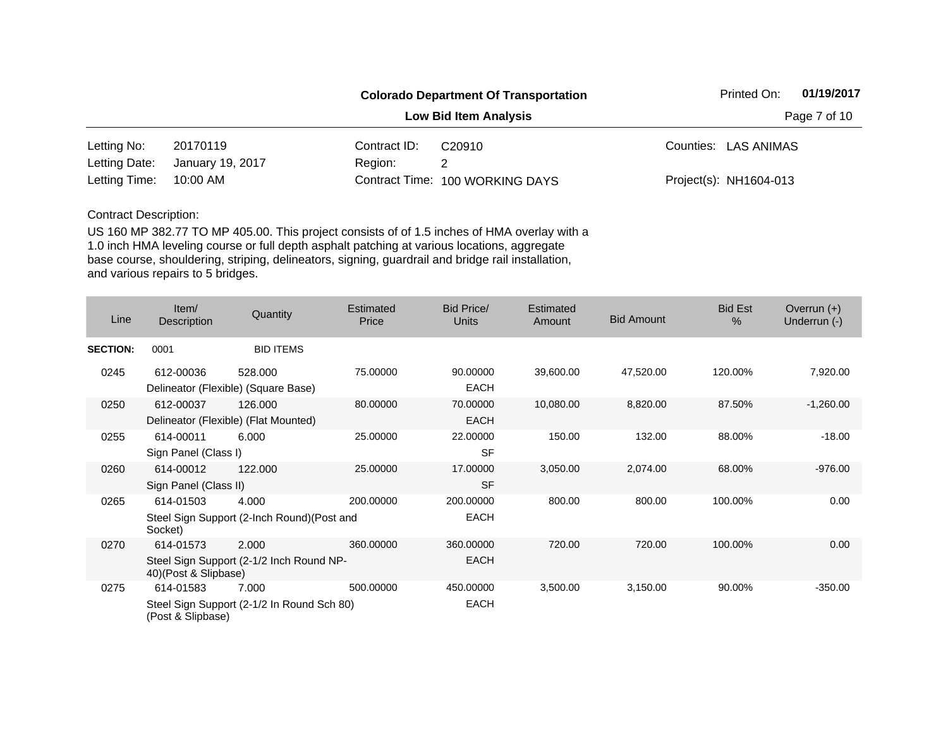|               |                  |              | <b>Colorado Department Of Transportation</b> | Printed On:            | 01/19/2017 |  |
|---------------|------------------|--------------|----------------------------------------------|------------------------|------------|--|
|               |                  |              | <b>Low Bid Item Analysis</b>                 | Page 7 of 10           |            |  |
| Letting No:   | 20170119         | Contract ID: | C <sub>20910</sub>                           | Counties: LAS ANIMAS   |            |  |
| Letting Date: | January 19, 2017 | Region:      |                                              |                        |            |  |
| Letting Time: | 10:00 AM         |              | Contract Time: 100 WORKING DAYS              | Project(s): NH1604-013 |            |  |

| Line            | Item $/$<br>Description            | Quantity                                             | Estimated<br>Price | Bid Price/<br>Units      | Estimated<br>Amount | <b>Bid Amount</b> | <b>Bid Est</b><br>$\frac{0}{0}$ | Overrun $(+)$<br>Underrun (-) |
|-----------------|------------------------------------|------------------------------------------------------|--------------------|--------------------------|---------------------|-------------------|---------------------------------|-------------------------------|
| <b>SECTION:</b> | 0001                               | <b>BID ITEMS</b>                                     |                    |                          |                     |                   |                                 |                               |
| 0245            | 612-00036                          | 528.000<br>Delineator (Flexible) (Square Base)       | 75.00000           | 90.00000<br><b>EACH</b>  | 39,600.00           | 47,520.00         | 120.00%                         | 7,920.00                      |
| 0250            | 612-00037                          | 126.000<br>Delineator (Flexible) (Flat Mounted)      | 80.00000           | 70.00000<br><b>EACH</b>  | 10,080.00           | 8,820.00          | 87.50%                          | $-1,260.00$                   |
| 0255            | 614-00011<br>Sign Panel (Class I)  | 6.000                                                | 25.00000           | 22.00000<br><b>SF</b>    | 150.00              | 132.00            | 88.00%                          | $-18.00$                      |
| 0260            | 614-00012<br>Sign Panel (Class II) | 122,000                                              | 25.00000           | 17.00000<br><b>SF</b>    | 3,050.00            | 2,074.00          | 68.00%                          | $-976.00$                     |
| 0265            | 614-01503<br>Socket)               | 4.000<br>Steel Sign Support (2-Inch Round) (Post and | 200.00000          | 200.00000<br><b>EACH</b> | 800.00              | 800.00            | 100.00%                         | 0.00                          |
| 0270            | 614-01573<br>40)(Post & Slipbase)  | 2.000<br>Steel Sign Support (2-1/2 Inch Round NP-    | 360.00000          | 360.00000<br><b>EACH</b> | 720.00              | 720.00            | 100.00%                         | 0.00                          |
| 0275            | 614-01583<br>(Post & Slipbase)     | 7.000<br>Steel Sign Support (2-1/2 In Round Sch 80)  | 500.00000          | 450.00000<br><b>EACH</b> | 3,500.00            | 3,150.00          | 90.00%                          | $-350.00$                     |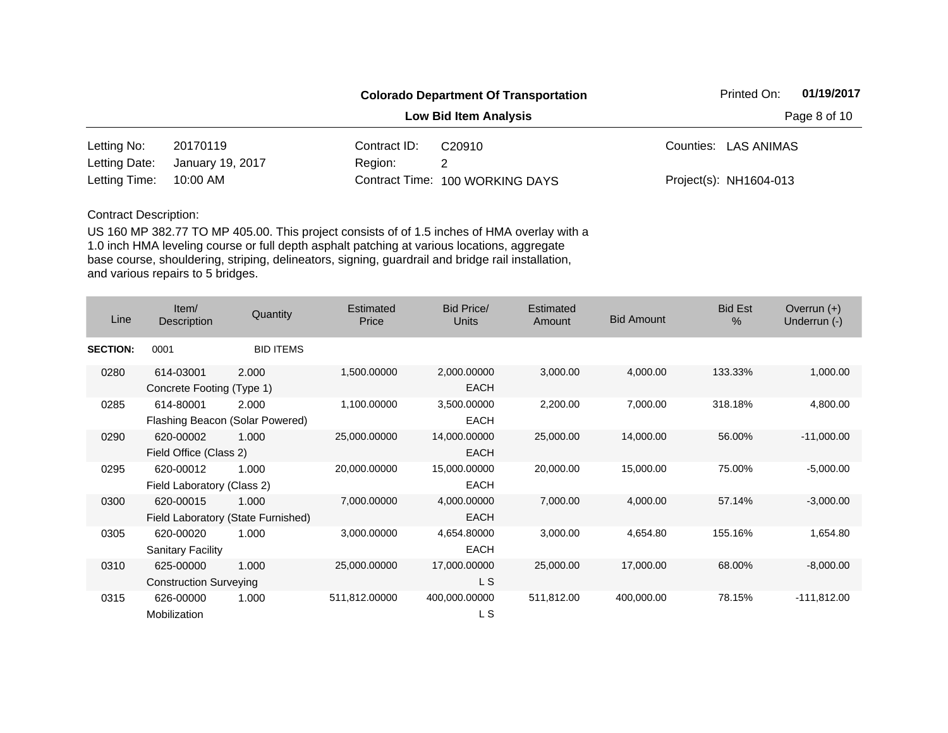|               |                  |              | <b>Colorado Department Of Transportation</b> | 01/19/2017<br>Printed On: |  |
|---------------|------------------|--------------|----------------------------------------------|---------------------------|--|
|               |                  |              | <b>Low Bid Item Analysis</b>                 | Page 8 of 10              |  |
| Letting No:   | 20170119         | Contract ID: | C <sub>20910</sub>                           | Counties: LAS ANIMAS      |  |
| Letting Date: | January 19, 2017 | Region:      |                                              |                           |  |
| Letting Time: | 10:00 AM         |              | Contract Time: 100 WORKING DAYS              | Project(s): NH1604-013    |  |

| Line            | Item/<br>Description          | Quantity                           | Estimated<br>Price | <b>Bid Price/</b><br>Units | Estimated<br>Amount | <b>Bid Amount</b> | <b>Bid Est</b><br>$\%$ | Overrun $(+)$<br>Underrun (-) |
|-----------------|-------------------------------|------------------------------------|--------------------|----------------------------|---------------------|-------------------|------------------------|-------------------------------|
| <b>SECTION:</b> | 0001                          | <b>BID ITEMS</b>                   |                    |                            |                     |                   |                        |                               |
| 0280            | 614-03001                     | 2.000                              | 1,500.00000        | 2,000.00000                | 3,000.00            | 4,000.00          | 133.33%                | 1,000.00                      |
|                 | Concrete Footing (Type 1)     |                                    |                    | <b>EACH</b>                |                     |                   |                        |                               |
| 0285            | 614-80001                     | 2.000                              | 1,100.00000        | 3,500.00000                | 2,200.00            | 7,000.00          | 318.18%                | 4,800.00                      |
|                 |                               | Flashing Beacon (Solar Powered)    |                    | EACH                       |                     |                   |                        |                               |
| 0290            | 620-00002                     | 1.000                              | 25,000.00000       | 14,000.00000               | 25,000.00           | 14,000.00         | 56.00%                 | $-11,000.00$                  |
|                 | Field Office (Class 2)        |                                    |                    | <b>EACH</b>                |                     |                   |                        |                               |
| 0295            | 620-00012                     | 1.000                              | 20,000.00000       | 15,000.00000               | 20,000.00           | 15,000.00         | 75.00%                 | $-5,000.00$                   |
|                 | Field Laboratory (Class 2)    |                                    |                    | <b>EACH</b>                |                     |                   |                        |                               |
| 0300            | 620-00015                     | 1.000                              | 7,000.00000        | 4,000.00000                | 7,000.00            | 4,000.00          | 57.14%                 | $-3,000.00$                   |
|                 |                               | Field Laboratory (State Furnished) |                    | <b>EACH</b>                |                     |                   |                        |                               |
| 0305            | 620-00020                     | 1.000                              | 3,000.00000        | 4,654.80000                | 3,000.00            | 4,654.80          | 155.16%                | 1,654.80                      |
|                 | <b>Sanitary Facility</b>      |                                    |                    | <b>EACH</b>                |                     |                   |                        |                               |
| 0310            | 625-00000                     | 1.000                              | 25,000.00000       | 17,000.00000               | 25,000.00           | 17,000.00         | 68.00%                 | $-8,000.00$                   |
|                 | <b>Construction Surveying</b> |                                    |                    | L S                        |                     |                   |                        |                               |
| 0315            | 626-00000<br>Mobilization     | 1.000                              | 511,812.00000      | 400,000.00000<br>L S       | 511,812.00          | 400,000.00        | 78.15%                 | $-111,812.00$                 |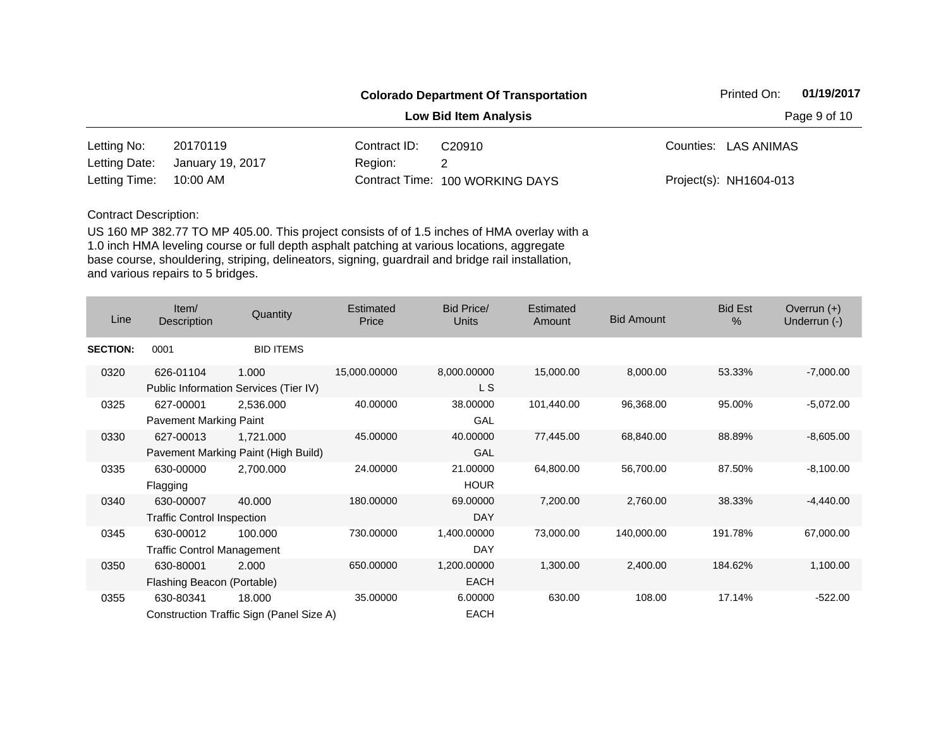|               |                  |              | <b>Colorado Department Of Transportation</b> | 01/19/2017<br>Printed On: |  |  |
|---------------|------------------|--------------|----------------------------------------------|---------------------------|--|--|
|               |                  |              | <b>Low Bid Item Analysis</b>                 | Page 9 of 10              |  |  |
| Letting No:   | 20170119         | Contract ID: | C <sub>20910</sub>                           | Counties: LAS ANIMAS      |  |  |
| Letting Date: | January 19, 2017 | Region:      |                                              |                           |  |  |
| Letting Time: | 10:00 AM         |              | Contract Time: 100 WORKING DAYS              | Project(s): NH1604-013    |  |  |

| Line            | Item/<br>Description              | Quantity                                 | Estimated<br>Price | Bid Price/<br>Units | <b>Estimated</b><br>Amount | <b>Bid Amount</b> | <b>Bid Est</b><br>$\%$ | Overrun $(+)$<br>Underrun (-) |
|-----------------|-----------------------------------|------------------------------------------|--------------------|---------------------|----------------------------|-------------------|------------------------|-------------------------------|
| <b>SECTION:</b> | 0001                              | <b>BID ITEMS</b>                         |                    |                     |                            |                   |                        |                               |
| 0320            | 626-01104                         | 1.000                                    | 15,000.00000       | 8,000.00000         | 15,000.00                  | 8,000.00          | 53.33%                 | $-7,000.00$                   |
|                 |                                   | Public Information Services (Tier IV)    |                    | L S                 |                            |                   |                        |                               |
| 0325            | 627-00001                         | 2,536.000                                | 40.00000           | 38.00000            | 101,440.00                 | 96,368.00         | 95.00%                 | $-5,072.00$                   |
|                 | Pavement Marking Paint            |                                          |                    | GAL                 |                            |                   |                        |                               |
| 0330            | 627-00013                         | 1,721.000                                | 45.00000           | 40.00000            | 77,445.00                  | 68,840.00         | 88.89%                 | $-8,605.00$                   |
|                 |                                   | Pavement Marking Paint (High Build)      |                    | GAL                 |                            |                   |                        |                               |
| 0335            | 630-00000                         | 2,700.000                                | 24.00000           | 21.00000            | 64,800.00                  | 56,700.00         | 87.50%                 | $-8,100.00$                   |
|                 | Flagging                          |                                          |                    | <b>HOUR</b>         |                            |                   |                        |                               |
| 0340            | 630-00007                         | 40,000                                   | 180.00000          | 69.00000            | 7,200.00                   | 2,760.00          | 38.33%                 | $-4,440.00$                   |
|                 | <b>Traffic Control Inspection</b> |                                          |                    | DAY                 |                            |                   |                        |                               |
| 0345            | 630-00012                         | 100.000                                  | 730.00000          | 1,400.00000         | 73,000.00                  | 140,000.00        | 191.78%                | 67,000.00                     |
|                 | <b>Traffic Control Management</b> |                                          |                    | <b>DAY</b>          |                            |                   |                        |                               |
| 0350            | 630-80001                         | 2.000                                    | 650.00000          | 1,200.00000         | 1,300.00                   | 2,400.00          | 184.62%                | 1,100.00                      |
|                 | Flashing Beacon (Portable)        |                                          |                    | <b>EACH</b>         |                            |                   |                        |                               |
| 0355            | 630-80341                         | 18.000                                   | 35.00000           | 6.00000             | 630.00                     | 108.00            | 17.14%                 | $-522.00$                     |
|                 |                                   | Construction Traffic Sign (Panel Size A) |                    | <b>EACH</b>         |                            |                   |                        |                               |